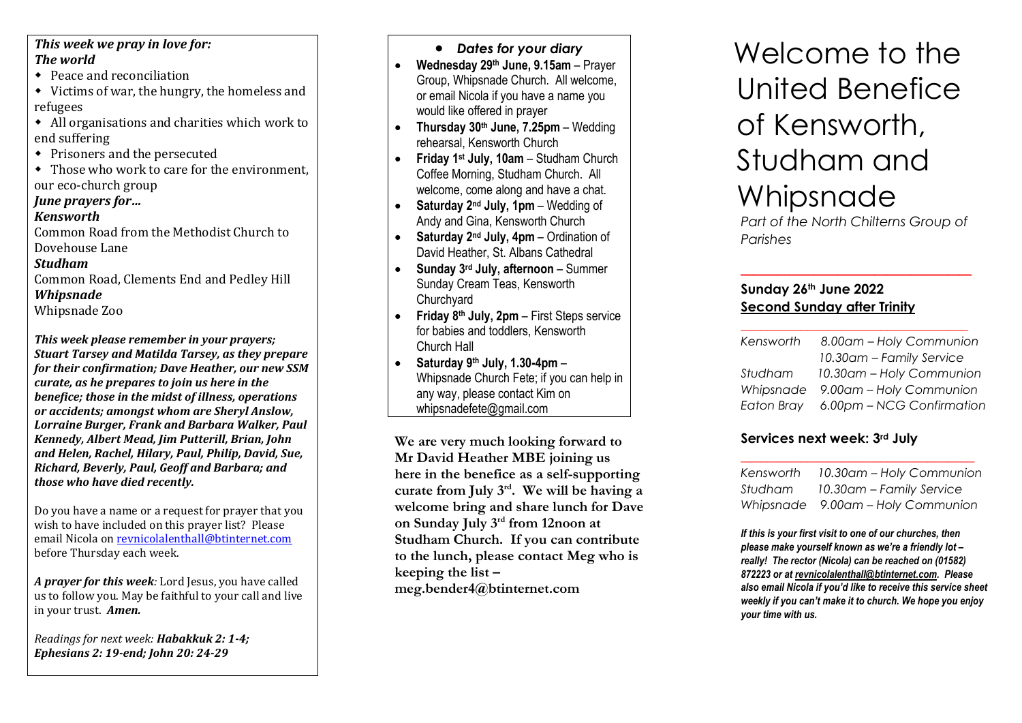#### *This week we pray in love for: The world*

- Peace and reconciliation
- Victims of war, the hungry, the homeless and refugees
- All organisations and charities which work to end suffering
- Prisoners and the persecuted
- Those who work to care for the environment, our eco-church group

#### *June prayers for…*

#### *Kenswort h*

Common Road from the Methodist Church to Dovehouse Lane

#### *Studham*

Common Road, Clements End and Pedley Hill *Whipsnad e* Whipsnade Zoo

*This week please remember in your prayers; Stuart Tarsey and Matilda Tarsey, as they prepare for their confirmation; Dave Heather, our new SSM curate, as he prepares to join us here in the benefice; those in the midst of illness, operations or accidents; amongst whom are Sheryl Anslow,* 

*Lor raine Burger, Frank and Barbara Walker, Paul Kennedy, Albert Mead, Ji <sup>m</sup> Putterill, Brian, John and Helen, Rachel, Hilary, Paul, Philip, David, Sue, Richard, Beverly, Paul, Geoff and Barbara; and those who have died recently.*

Do you have a name or a request for prayer that you wish to have included on this prayer list? Please email Nicola on revnicolalenthall@btinternet.com before Thursday each week.

*A prayer for this week:* Lord Jesus, you have called us to follow you. May be faithful to your call and live in your trust. *Amen.*

*Readings for next week: Habakkuk 2: 1-4; Ephesians 2: 19-end; John 20: 24-29*

#### • *Dates for your diary*

- **Wednesday 29th June, 9.15am**  Prayer Group, Whipsnade Church. All welcome, or email Nicola if you have a name you would like offered in prayer
- • **Thursday 30th June, 7.25pm**  – Wedding rehearsal, Kensworth Church
- **Friday 1st July, 10am**  Studham Church Coffee Morning, Studham Church. All welcome, come along and have a chat.
- **Saturday 2nd July, 1p m** Wedding of Andy and Gina, Kensworth Church
- **Saturday 2nd July, 4 p m** Ordination of David Heather, St. Albans Cathedral
- **Sunday 3rd July, afternoon** Summer Sunday Cream Teas, Kensworth **Churchvard**
- **Friday 8th July, 2pm**  First Steps service for babies and toddlers, Kensworth Church Hall
- **Saturday 9th July, 1.30-4pm** Whipsnade Church Fete; if you can help in any way, please contact Kim on whipsnadefete@gmail.com

**We are very much looking forward to Mr David Heather MBE joining us here in the benefice as a self-supporting curate from July 3rd. We will be having <sup>a</sup> welcome bring and share lunch for Dave on Sunday July 3r<sup>d</sup> from 12noon at Studham Church. If you can contribute to the lunch, please contact Meg who is keeping the list – meg.bender4@btinternet.com**

# Welcome to the United Benefice of Kensworth, Studham and Whipsnade

*Part of the North Chilterns Group of Parishes*

*\_\_\_\_\_\_\_\_\_\_\_\_\_\_\_\_\_\_\_*

# **Sunday 26th June 2022 Second Sunday after Trinity**

| Kensworth | 8.00am - Holy Communion              |
|-----------|--------------------------------------|
|           | 10.30am - Family Service             |
| Studham   | 10.30am - Holy Communion             |
|           | Whipsnade 9.00am - Holy Communion    |
|           | Eaton Bray 6.00pm - NCG Confirmation |

# **Services next week: 3rd July**

| Kensworth | 10.30am - Holy Communion          |
|-----------|-----------------------------------|
| Studham   | 10.30am - Family Service          |
|           | Whipsnade 9.00am - Holy Communion |

*If this is your first visit to one of our churches, then please make yourself known as we're a friendly lot – really! The rector (Nicola) can be reached on (01582) 872223 or at revnicolalenthall@btinternet.com. Please also email Nicola if you'd like to receive this service sheet weekly if you can't make it to church. We hope you enjoy your time with us.*